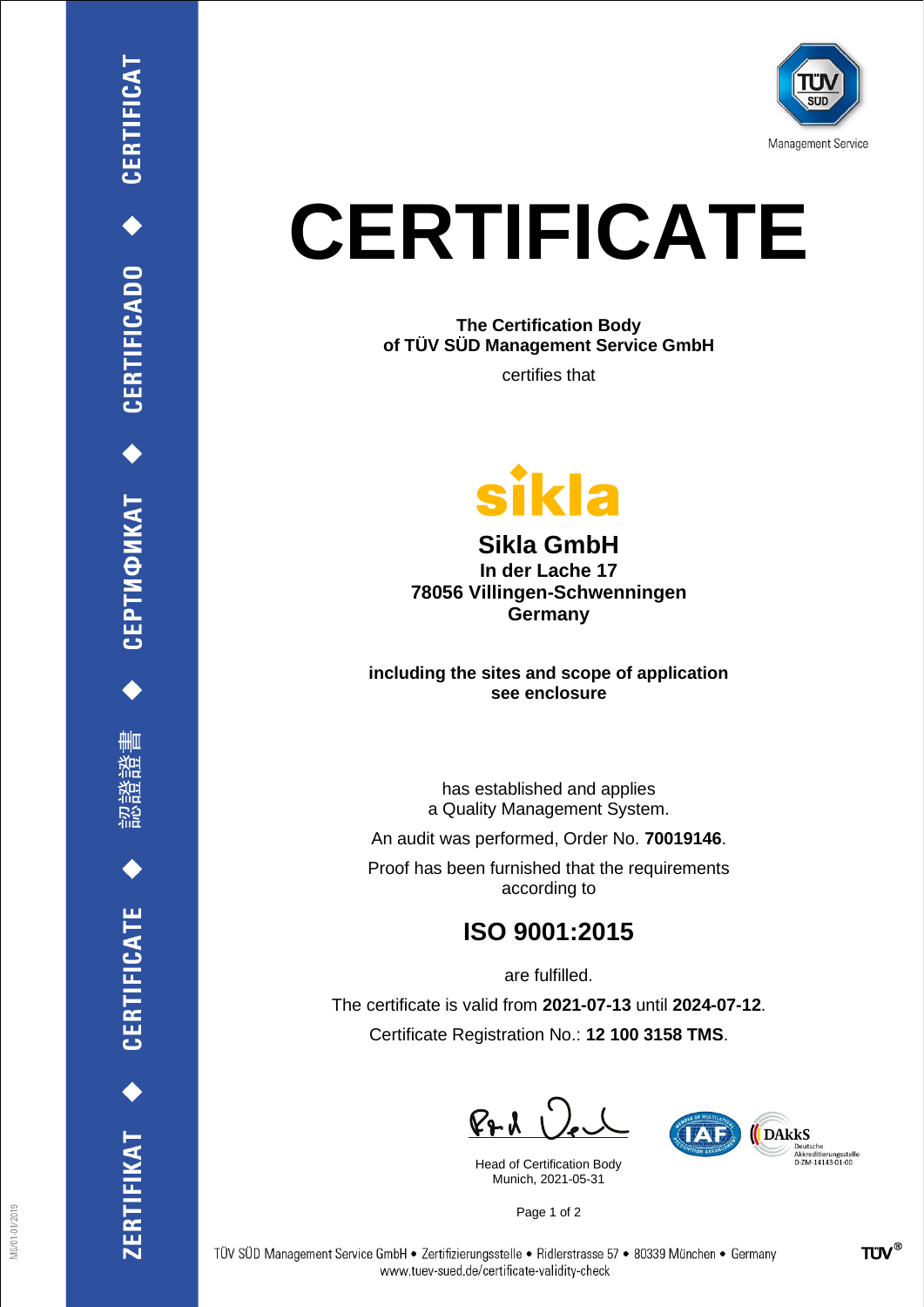

## **CERTIFICATE**

**The Certification Body of TÜV SÜD Management Service GmbH**

certifies that



**Sikla GmbH In der Lache 17 78056 Villingen-Schwenningen Germany**

**including the sites and scope of application see enclosure**

> has established and applies a Quality Management System.

An audit was performed, Order No. **70019146**.

Proof has been furnished that the requirements according to

## **ISO 9001:2015**

are fulfilled. The certificate is valid from **2021-07-13** until **2024-07-12**. Certificate Registration No.: **12 100 3158 TMS**.

 $P + 1$ 

Head of Certification Body Munich, 2021-05-31



Page 1 of 2

CEPTИФИКАТ ◆ CERTIFICADO ◆ CERTIFICAT

₩ш